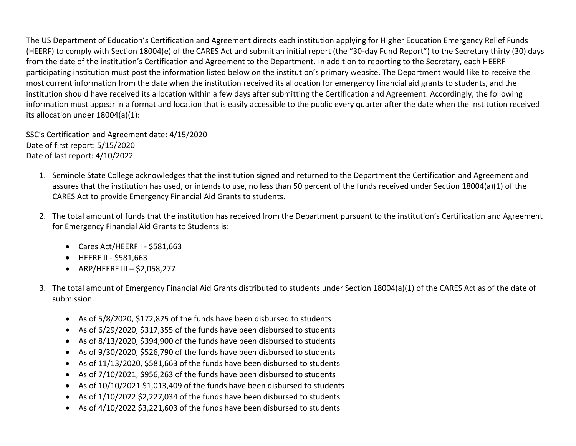The US Department of Education's Certification and Agreement directs each institution applying for Higher Education Emergency Relief Funds (HEERF) to comply with Section 18004(e) of the CARES Act and submit an initial report (the "30-day Fund Report") to the Secretary thirty (30) days from the date of the institution's Certification and Agreement to the Department. In addition to reporting to the Secretary, each HEERF participating institution must post the information listed below on the institution's primary website. The Department would like to receive the most current information from the date when the institution received its allocation for emergency financial aid grants to students, and the institution should have received its allocation within a few days after submitting the Certification and Agreement. Accordingly, the following information must appear in a format and location that is easily accessible to the public every quarter after the date when the institution received its allocation under 18004(a)(1):

SSC's Certification and Agreement date: 4/15/2020 Date of first report: 5/15/2020 Date of last report: 4/10/2022

- 1. Seminole State College acknowledges that the institution signed and returned to the Department the Certification and Agreement and assures that the institution has used, or intends to use, no less than 50 percent of the funds received under Section 18004(a)(1) of the CARES Act to provide Emergency Financial Aid Grants to students.
- 2. The total amount of funds that the institution has received from the Department pursuant to the institution's Certification and Agreement for Emergency Financial Aid Grants to Students is:
	- Cares Act/HEERF I \$581,663
	- HEERF II \$581,663
	- ARP/HEERF III \$2,058,277
- 3. The total amount of Emergency Financial Aid Grants distributed to students under Section 18004(a)(1) of the CARES Act as of the date of submission.
	- As of 5/8/2020, \$172,825 of the funds have been disbursed to students
	- As of 6/29/2020, \$317,355 of the funds have been disbursed to students
	- As of 8/13/2020, \$394,900 of the funds have been disbursed to students
	- As of 9/30/2020, \$526,790 of the funds have been disbursed to students
	- As of 11/13/2020, \$581,663 of the funds have been disbursed to students
	- As of 7/10/2021, \$956,263 of the funds have been disbursed to students
	- As of 10/10/2021 \$1,013,409 of the funds have been disbursed to students
	- As of 1/10/2022 \$2,227,034 of the funds have been disbursed to students
	- As of 4/10/2022 \$3,221,603 of the funds have been disbursed to students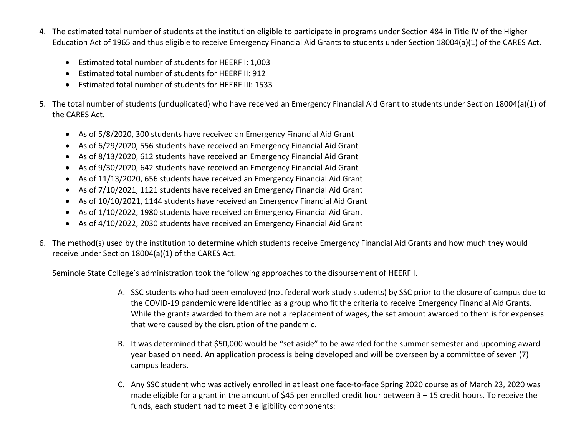- 4. The estimated total number of students at the institution eligible to participate in programs under Section 484 in Title IV of the Higher Education Act of 1965 and thus eligible to receive Emergency Financial Aid Grants to students under Section 18004(a)(1) of the CARES Act.
	- Estimated total number of students for HEERF I: 1,003
	- Estimated total number of students for HEERF II: 912
	- Estimated total number of students for HEERF III: 1533
- 5. The total number of students (unduplicated) who have received an Emergency Financial Aid Grant to students under Section 18004(a)(1) of the CARES Act.
	- As of 5/8/2020, 300 students have received an Emergency Financial Aid Grant
	- As of 6/29/2020, 556 students have received an Emergency Financial Aid Grant
	- As of 8/13/2020, 612 students have received an Emergency Financial Aid Grant
	- As of 9/30/2020, 642 students have received an Emergency Financial Aid Grant
	- As of 11/13/2020, 656 students have received an Emergency Financial Aid Grant
	- As of 7/10/2021, 1121 students have received an Emergency Financial Aid Grant
	- As of 10/10/2021, 1144 students have received an Emergency Financial Aid Grant
	- As of 1/10/2022, 1980 students have received an Emergency Financial Aid Grant
	- As of 4/10/2022, 2030 students have received an Emergency Financial Aid Grant
- 6. The method(s) used by the institution to determine which students receive Emergency Financial Aid Grants and how much they would receive under Section 18004(a)(1) of the CARES Act.

Seminole State College's administration took the following approaches to the disbursement of HEERF I.

- A. SSC students who had been employed (not federal work study students) by SSC prior to the closure of campus due to the COVID-19 pandemic were identified as a group who fit the criteria to receive Emergency Financial Aid Grants. While the grants awarded to them are not a replacement of wages, the set amount awarded to them is for expenses that were caused by the disruption of the pandemic.
- B. It was determined that \$50,000 would be "set aside" to be awarded for the summer semester and upcoming award year based on need. An application process is being developed and will be overseen by a committee of seven (7) campus leaders.
- C. Any SSC student who was actively enrolled in at least one face-to-face Spring 2020 course as of March 23, 2020 was made eligible for a grant in the amount of \$45 per enrolled credit hour between 3 - 15 credit hours. To receive the funds, each student had to meet 3 eligibility components: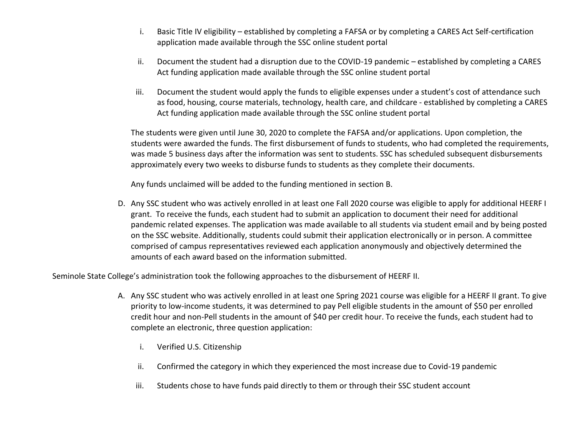- i. Basic Title IV eligibility established by completing a FAFSA or by completing a CARES Act Self-certification application made available through the SSC online student portal
- ii. Document the student had a disruption due to the COVID-19 pandemic established by completing a CARES Act funding application made available through the SSC online student portal
- iii. Document the student would apply the funds to eligible expenses under a student's cost of attendance such as food, housing, course materials, technology, health care, and childcare - established by completing a CARES Act funding application made available through the SSC online student portal

The students were given until June 30, 2020 to complete the FAFSA and/or applications. Upon completion, the students were awarded the funds. The first disbursement of funds to students, who had completed the requirements, was made 5 business days after the information was sent to students. SSC has scheduled subsequent disbursements approximately every two weeks to disburse funds to students as they complete their documents.

Any funds unclaimed will be added to the funding mentioned in section B.

D. Any SSC student who was actively enrolled in at least one Fall 2020 course was eligible to apply for additional HEERF I grant. To receive the funds, each student had to submit an application to document their need for additional pandemic related expenses. The application was made available to all students via student email and by being posted on the SSC website. Additionally, students could submit their application electronically or in person. A committee comprised of campus representatives reviewed each application anonymously and objectively determined the amounts of each award based on the information submitted.

Seminole State College's administration took the following approaches to the disbursement of HEERF II.

- A. Any SSC student who was actively enrolled in at least one Spring 2021 course was eligible for a HEERF II grant. To give priority to low-income students, it was determined to pay Pell eligible students in the amount of \$50 per enrolled credit hour and non-Pell students in the amount of \$40 per credit hour. To receive the funds, each student had to complete an electronic, three question application:
	- i. Verified U.S. Citizenship
	- ii. Confirmed the category in which they experienced the most increase due to Covid-19 pandemic
	- iii. Students chose to have funds paid directly to them or through their SSC student account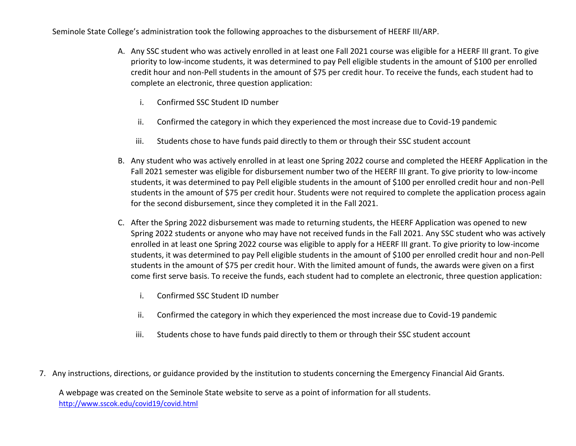Seminole State College's administration took the following approaches to the disbursement of HEERF III/ARP.

- A. Any SSC student who was actively enrolled in at least one Fall 2021 course was eligible for a HEERF III grant. To give priority to low-income students, it was determined to pay Pell eligible students in the amount of \$100 per enrolled credit hour and non-Pell students in the amount of \$75 per credit hour. To receive the funds, each student had to complete an electronic, three question application:
	- i. Confirmed SSC Student ID number
	- ii. Confirmed the category in which they experienced the most increase due to Covid-19 pandemic
	- iii. Students chose to have funds paid directly to them or through their SSC student account
- B. Any student who was actively enrolled in at least one Spring 2022 course and completed the HEERF Application in the Fall 2021 semester was eligible for disbursement number two of the HEERF III grant. To give priority to low-income students, it was determined to pay Pell eligible students in the amount of \$100 per enrolled credit hour and non-Pell students in the amount of \$75 per credit hour. Students were not required to complete the application process again for the second disbursement, since they completed it in the Fall 2021.
- C. After the Spring 2022 disbursement was made to returning students, the HEERF Application was opened to new Spring 2022 students or anyone who may have not received funds in the Fall 2021. Any SSC student who was actively enrolled in at least one Spring 2022 course was eligible to apply for a HEERF III grant. To give priority to low-income students, it was determined to pay Pell eligible students in the amount of \$100 per enrolled credit hour and non-Pell students in the amount of \$75 per credit hour. With the limited amount of funds, the awards were given on a first come first serve basis. To receive the funds, each student had to complete an electronic, three question application:
	- i. Confirmed SSC Student ID number
	- ii. Confirmed the category in which they experienced the most increase due to Covid-19 pandemic
	- iii. Students chose to have funds paid directly to them or through their SSC student account
- 7. Any instructions, directions, or guidance provided by the institution to students concerning the Emergency Financial Aid Grants.

A webpage was created on the Seminole State website to serve as a point of information for all students. <http://www.sscok.edu/covid19/covid.html>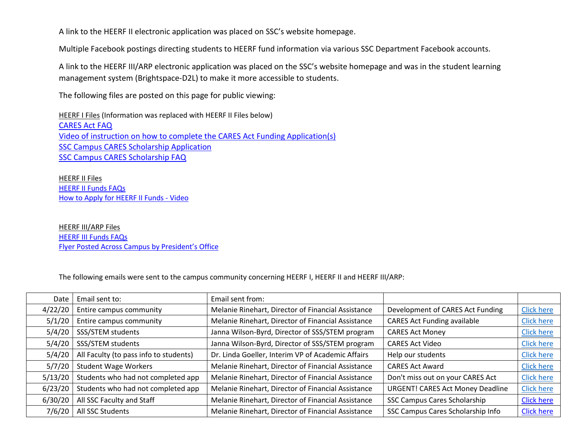A link to the HEERF II electronic application was placed on SSC's website homepage.

Multiple Facebook postings directing students to HEERF fund information via various SSC Department Facebook accounts.

A link to the HEERF III/ARP electronic application was placed on the SSC's website homepage and was in the student learning management system (Brightspace-D2L) to make it more accessible to students.

The following files are posted on this page for public viewing:

HEERF I Files (Information was replaced with HEERF II Files below) [CARES Act FAQ](http://www.sscok.edu/covid19/Cares%20Act%20funding%20FAQ.pdf) [Video of instruction on how to complete the CARES Act Funding Application\(s\)](https://transcripts.gotomeeting.com/#/s/6c16b4190575c71dfba639957d9333e3ae78c35d5226d8db0ff987a28df7c98a) [SSC Campus CARES Scholarship Application](http://www.sscok.edu/covid19/CARESApplicationFILLABLE.pdf) [SSC Campus CARES Scholarship FAQ](http://www.sscok.edu/covid19/CARESFAQ.pdf)

HEERF II Files [HEERF II Funds FAQs](http://www.sscok.edu/covid19/HEERF%20II%20Funding%20FAQ.pdf) How to Apply for [HEERF II Funds](http://www.sscok.edu/covid19/covid.html) - Video

HEERF III/ARP Files [HEERF III Funds FAQs](http://www.sscok.edu/covid19/HEERF%20III%20Funding%20FAQ%20updated.pdf) [Flyer Posted Across Campus by President's Office](http://www.sscok.edu/covid19/EmailCaresReliefFlyerPresident.pdf)

The following emails were sent to the campus community concerning HEERF I, HEERF II and HEERF III/ARP:

| Date    | Email sent to:                         | Email sent from:                                   |                                         |                   |
|---------|----------------------------------------|----------------------------------------------------|-----------------------------------------|-------------------|
| 4/22/20 | Entire campus community                | Melanie Rinehart, Director of Financial Assistance | Development of CARES Act Funding        | <b>Click here</b> |
| 5/1/20  | Entire campus community                | Melanie Rinehart, Director of Financial Assistance | <b>CARES Act Funding available</b>      | <b>Click here</b> |
| 5/4/20  | SSS/STEM students                      | Janna Wilson-Byrd, Director of SSS/STEM program    | <b>CARES Act Money</b>                  | <b>Click here</b> |
| 5/4/20  | SSS/STEM students                      | Janna Wilson-Byrd, Director of SSS/STEM program    | <b>CARES Act Video</b>                  | <b>Click here</b> |
| 5/4/20  | All Faculty (to pass info to students) | Dr. Linda Goeller, Interim VP of Academic Affairs  | Help our students                       | <b>Click here</b> |
| 5/7/20  | <b>Student Wage Workers</b>            | Melanie Rinehart, Director of Financial Assistance | <b>CARES Act Award</b>                  | <b>Click here</b> |
| 5/13/20 | Students who had not completed app     | Melanie Rinehart, Director of Financial Assistance | Don't miss out on your CARES Act        | <b>Click here</b> |
| 6/23/20 | Students who had not completed app     | Melanie Rinehart, Director of Financial Assistance | <b>URGENT! CARES Act Money Deadline</b> | <b>Click here</b> |
| 6/30/20 | All SSC Faculty and Staff              | Melanie Rinehart, Director of Financial Assistance | SSC Campus Cares Scholarship            | <b>Click here</b> |
| 7/6/20  | All SSC Students                       | Melanie Rinehart, Director of Financial Assistance | SSC Campus Cares Scholarship Info       | <b>Click here</b> |